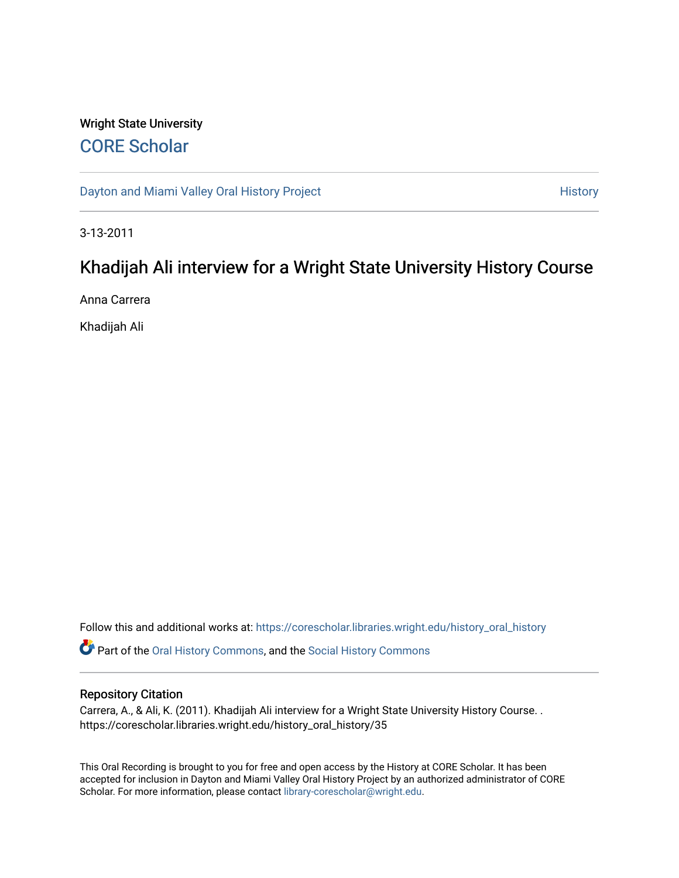# Wright State University [CORE Scholar](https://corescholar.libraries.wright.edu/)

[Dayton and Miami Valley Oral History Project](https://corescholar.libraries.wright.edu/history_oral_history) **History** History

3-13-2011

# Khadijah Ali interview for a Wright State University History Course

Anna Carrera

Khadijah Ali

Follow this and additional works at: [https://corescholar.libraries.wright.edu/history\\_oral\\_history](https://corescholar.libraries.wright.edu/history_oral_history?utm_source=corescholar.libraries.wright.edu%2Fhistory_oral_history%2F35&utm_medium=PDF&utm_campaign=PDFCoverPages) 

Part of the [Oral History Commons](http://network.bepress.com/hgg/discipline/1195?utm_source=corescholar.libraries.wright.edu%2Fhistory_oral_history%2F35&utm_medium=PDF&utm_campaign=PDFCoverPages), and the [Social History Commons](http://network.bepress.com/hgg/discipline/506?utm_source=corescholar.libraries.wright.edu%2Fhistory_oral_history%2F35&utm_medium=PDF&utm_campaign=PDFCoverPages)

#### Repository Citation

Carrera, A., & Ali, K. (2011). Khadijah Ali interview for a Wright State University History Course. . https://corescholar.libraries.wright.edu/history\_oral\_history/35

This Oral Recording is brought to you for free and open access by the History at CORE Scholar. It has been accepted for inclusion in Dayton and Miami Valley Oral History Project by an authorized administrator of CORE Scholar. For more information, please contact [library-corescholar@wright.edu](mailto:library-corescholar@wright.edu).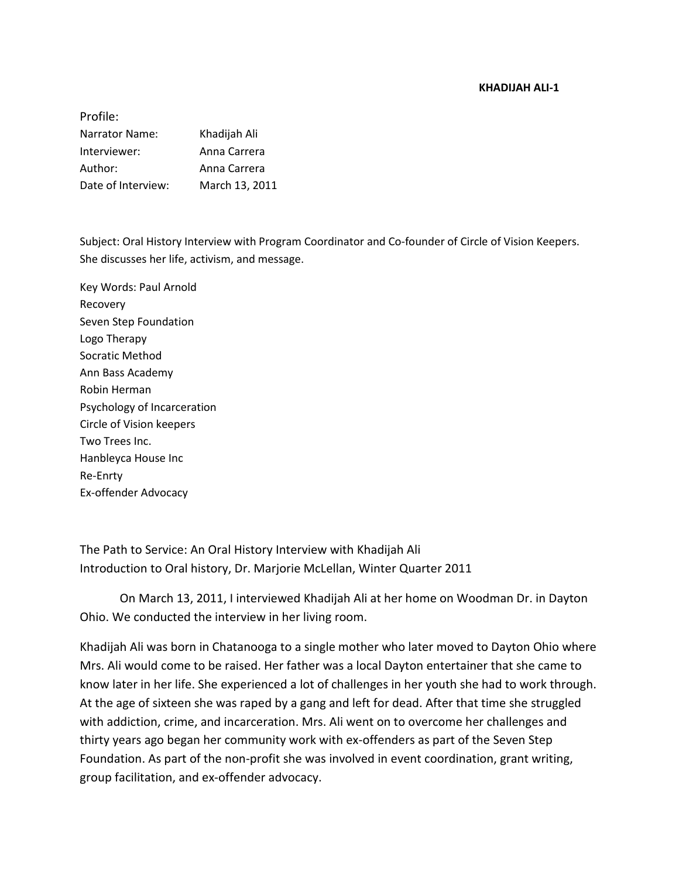#### **KHADIJAH ALI-1**

| Profile:           |                |
|--------------------|----------------|
| Narrator Name:     | Khadijah Ali   |
| Interviewer:       | Anna Carrera   |
| Author:            | Anna Carrera   |
| Date of Interview: | March 13, 2011 |

Subject: Oral History Interview with Program Coordinator and Co-founder of Circle of Vision Keepers. She discusses her life, activism, and message.

Key Words: Paul Arnold Recovery Seven Step Foundation Logo Therapy Socratic Method Ann Bass Academy Robin Herman Psychology of Incarceration Circle of Vision keepers Two Trees Inc. Hanbleyca House Inc Re-Enrty Ex-offender Advocacy

The Path to Service: An Oral History Interview with Khadijah Ali Introduction to Oral history, Dr. Marjorie McLellan, Winter Quarter 2011

On March 13, 2011, I interviewed Khadijah Ali at her home on Woodman Dr. in Dayton Ohio. We conducted the interview in her living room.

Khadijah Ali was born in Chatanooga to a single mother who later moved to Dayton Ohio where Mrs. Ali would come to be raised. Her father was a local Dayton entertainer that she came to know later in her life. She experienced a lot of challenges in her youth she had to work through. At the age of sixteen she was raped by a gang and left for dead. After that time she struggled with addiction, crime, and incarceration. Mrs. Ali went on to overcome her challenges and thirty years ago began her community work with ex-offenders as part of the Seven Step Foundation. As part of the non-profit she was involved in event coordination, grant writing, group facilitation, and ex-offender advocacy.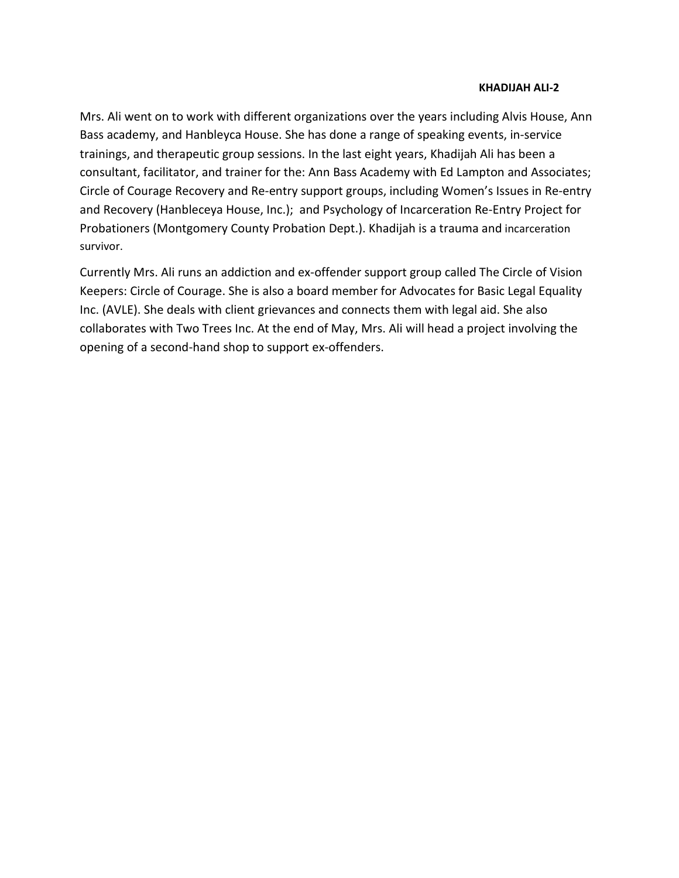#### **KHADIJAH ALI-2**

Mrs. Ali went on to work with different organizations over the years including Alvis House, Ann Bass academy, and Hanbleyca House. She has done a range of speaking events, in-service trainings, and therapeutic group sessions. In the last eight years, Khadijah Ali has been a consultant, facilitator, and trainer for the: Ann Bass Academy with Ed Lampton and Associates; Circle of Courage Recovery and Re-entry support groups, including Women's Issues in Re-entry and Recovery (Hanbleceya House, Inc.); and Psychology of Incarceration Re-Entry Project for Probationers (Montgomery County Probation Dept.). Khadijah is a trauma and incarceration survivor.

Currently Mrs. Ali runs an addiction and ex-offender support group called The Circle of Vision Keepers: Circle of Courage. She is also a board member for Advocates for Basic Legal Equality Inc. (AVLE). She deals with client grievances and connects them with legal aid. She also collaborates with Two Trees Inc. At the end of May, Mrs. Ali will head a project involving the opening of a second-hand shop to support ex-offenders.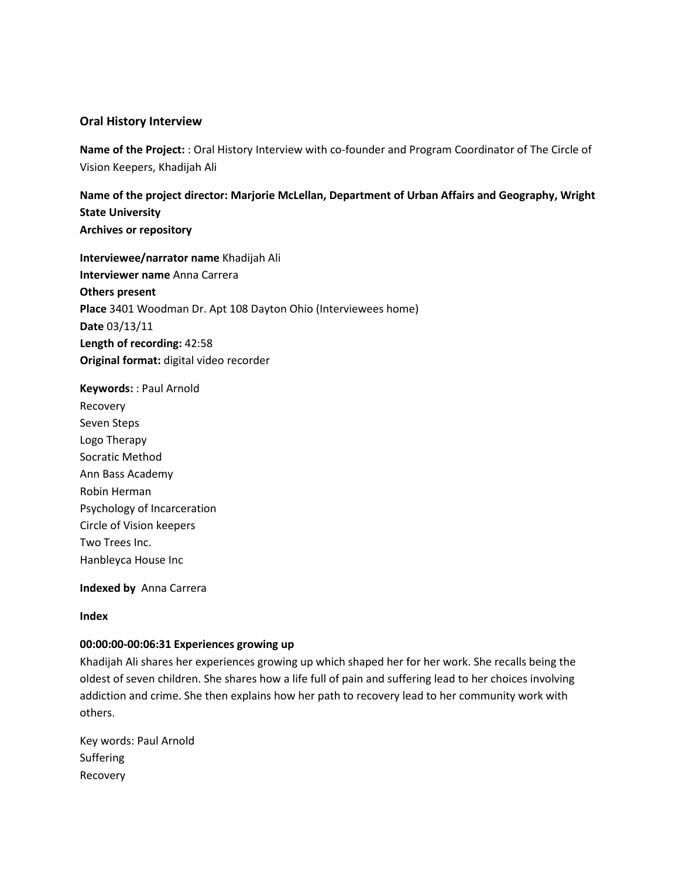### **Oral History Interview**

**Name of the Project:** : Oral History Interview with co-founder and Program Coordinator of The Circle of Vision Keepers, Khadijah Ali

**Name of the project director: Marjorie McLellan, Department of Urban Affairs and Geography, Wright State University Archives or repository**

**Interviewee/narrator name** Khadijah Ali **Interviewer name** Anna Carrera **Others present Place** 3401 Woodman Dr. Apt 108 Dayton Ohio (Interviewees home) **Date** 03/13/11 **Length of recording:** 42:58 **Original format:** digital video recorder

**Keywords:** : Paul Arnold Recovery Seven Steps Logo Therapy Socratic Method Ann Bass Academy Robin Herman Psychology of Incarceration Circle of Vision keepers Two Trees Inc. Hanbleyca House Inc

**Indexed by** Anna Carrera

### **Index**

#### **00:00:00-00:06:31 Experiences growing up**

Khadijah Ali shares her experiences growing up which shaped her for her work. She recalls being the oldest of seven children. She shares how a life full of pain and suffering lead to her choices involving addiction and crime. She then explains how her path to recovery lead to her community work with others.

Key words: Paul Arnold Suffering Recovery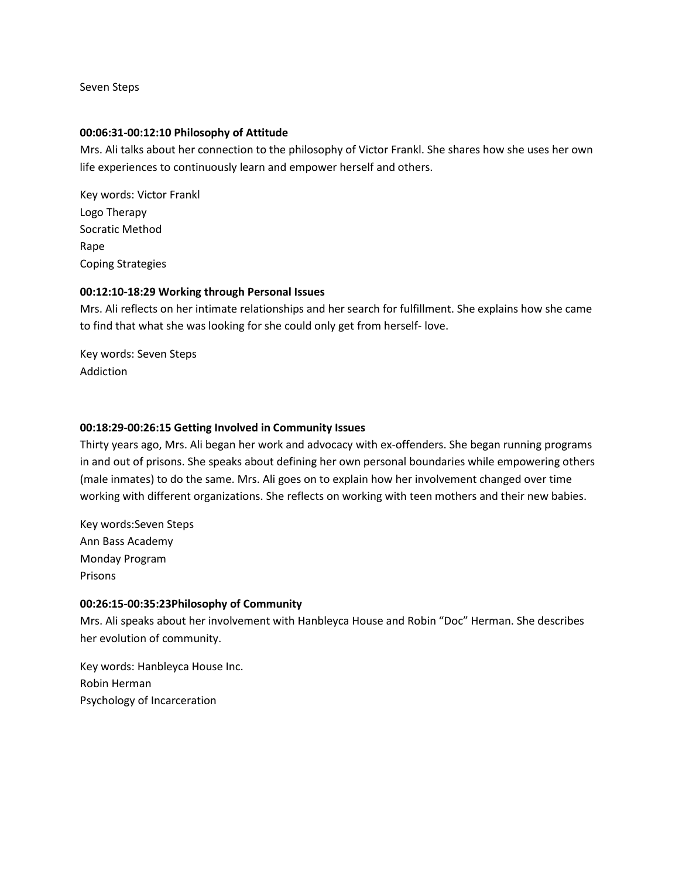Seven Steps

#### **00:06:31-00:12:10 Philosophy of Attitude**

Mrs. Ali talks about her connection to the philosophy of Victor Frankl. She shares how she uses her own life experiences to continuously learn and empower herself and others.

Key words: Victor Frankl Logo Therapy Socratic Method Rape Coping Strategies

#### **00:12:10-18:29 Working through Personal Issues**

Mrs. Ali reflects on her intimate relationships and her search for fulfillment. She explains how she came to find that what she was looking for she could only get from herself- love.

Key words: Seven Steps Addiction

#### **00:18:29-00:26:15 Getting Involved in Community Issues**

Thirty years ago, Mrs. Ali began her work and advocacy with ex-offenders. She began running programs in and out of prisons. She speaks about defining her own personal boundaries while empowering others (male inmates) to do the same. Mrs. Ali goes on to explain how her involvement changed over time working with different organizations. She reflects on working with teen mothers and their new babies.

Key words:Seven Steps Ann Bass Academy Monday Program Prisons

#### **00:26:15-00:35:23Philosophy of Community**

Mrs. Ali speaks about her involvement with Hanbleyca House and Robin "Doc" Herman. She describes her evolution of community.

Key words: Hanbleyca House Inc. Robin Herman Psychology of Incarceration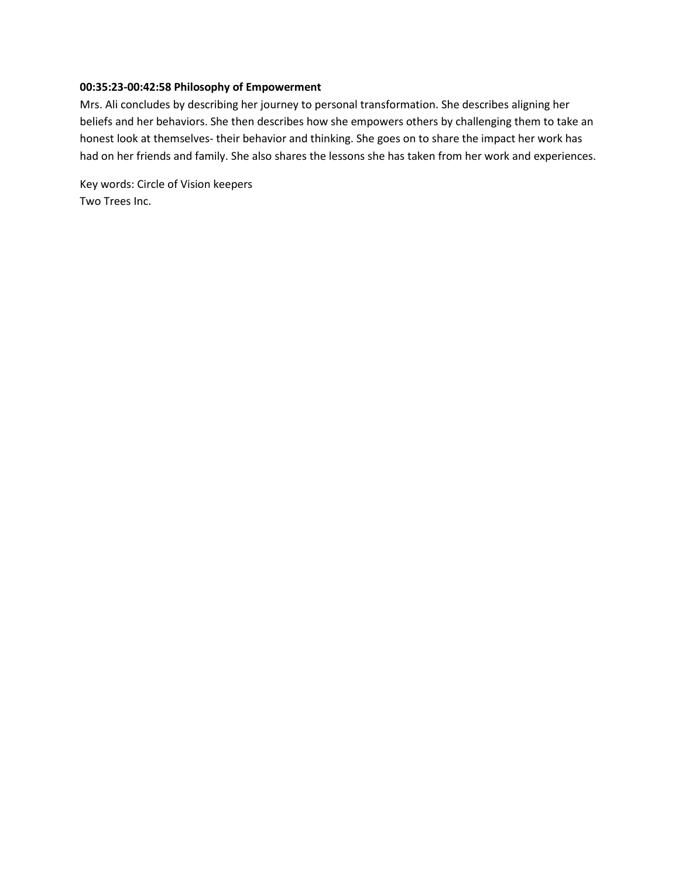#### **00:35:23-00:42:58 Philosophy of Empowerment**

Mrs. Ali concludes by describing her journey to personal transformation. She describes aligning her beliefs and her behaviors. She then describes how she empowers others by challenging them to take an honest look at themselves- their behavior and thinking. She goes on to share the impact her work has had on her friends and family. She also shares the lessons she has taken from her work and experiences.

Key words: Circle of Vision keepers Two Trees Inc.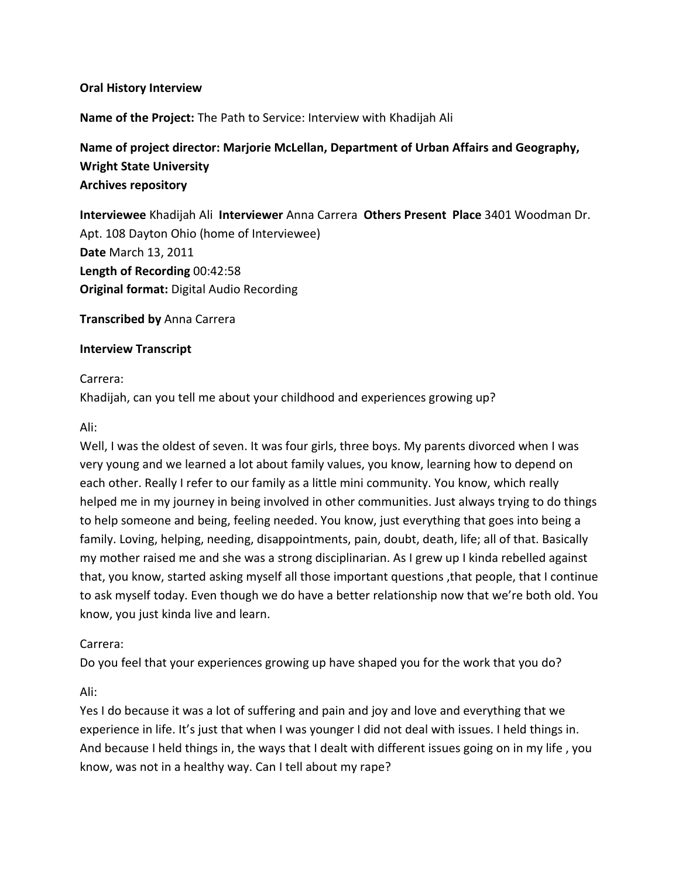### **Oral History Interview**

**Name of the Project:** The Path to Service: Interview with Khadijah Ali

**Name of project director: Marjorie McLellan, Department of Urban Affairs and Geography, Wright State University Archives repository**

**Interviewee** Khadijah Ali **Interviewer** Anna Carrera **Others Present Place** 3401 Woodman Dr. Apt. 108 Dayton Ohio (home of Interviewee) **Date** March 13, 2011 **Length of Recording** 00:42:58 **Original format:** Digital Audio Recording

**Transcribed by** Anna Carrera

### **Interview Transcript**

Carrera:

Khadijah, can you tell me about your childhood and experiences growing up?

### Ali:

Well, I was the oldest of seven. It was four girls, three boys. My parents divorced when I was very young and we learned a lot about family values, you know, learning how to depend on each other. Really I refer to our family as a little mini community. You know, which really helped me in my journey in being involved in other communities. Just always trying to do things to help someone and being, feeling needed. You know, just everything that goes into being a family. Loving, helping, needing, disappointments, pain, doubt, death, life; all of that. Basically my mother raised me and she was a strong disciplinarian. As I grew up I kinda rebelled against that, you know, started asking myself all those important questions ,that people, that I continue to ask myself today. Even though we do have a better relationship now that we're both old. You know, you just kinda live and learn.

### Carrera:

Do you feel that your experiences growing up have shaped you for the work that you do?

Ali:

Yes I do because it was a lot of suffering and pain and joy and love and everything that we experience in life. It's just that when I was younger I did not deal with issues. I held things in. And because I held things in, the ways that I dealt with different issues going on in my life , you know, was not in a healthy way. Can I tell about my rape?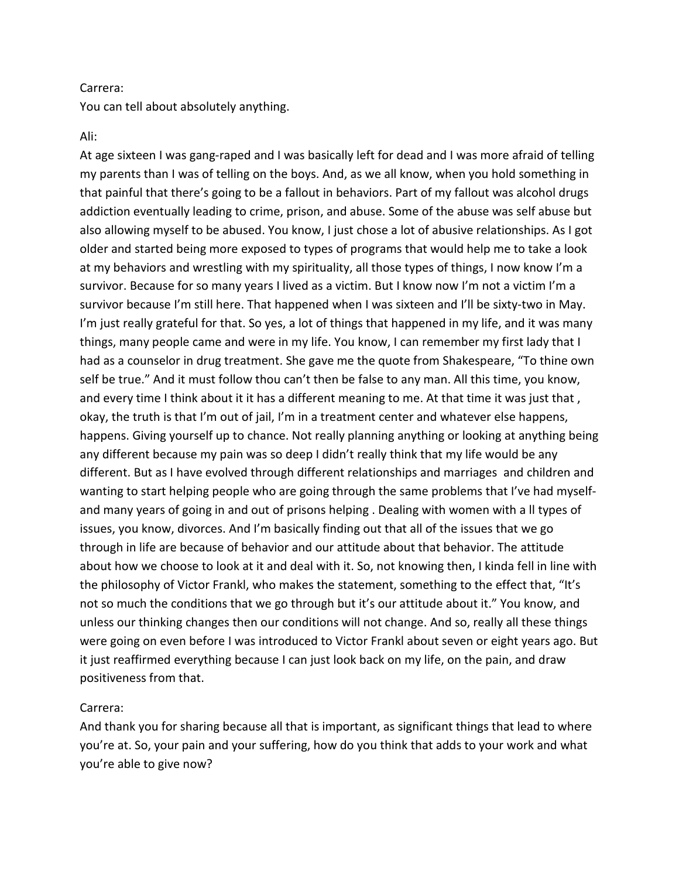#### Carrera:

You can tell about absolutely anything.

#### Ali:

At age sixteen I was gang-raped and I was basically left for dead and I was more afraid of telling my parents than I was of telling on the boys. And, as we all know, when you hold something in that painful that there's going to be a fallout in behaviors. Part of my fallout was alcohol drugs addiction eventually leading to crime, prison, and abuse. Some of the abuse was self abuse but also allowing myself to be abused. You know, I just chose a lot of abusive relationships. As I got older and started being more exposed to types of programs that would help me to take a look at my behaviors and wrestling with my spirituality, all those types of things, I now know I'm a survivor. Because for so many years I lived as a victim. But I know now I'm not a victim I'm a survivor because I'm still here. That happened when I was sixteen and I'll be sixty-two in May. I'm just really grateful for that. So yes, a lot of things that happened in my life, and it was many things, many people came and were in my life. You know, I can remember my first lady that I had as a counselor in drug treatment. She gave me the quote from Shakespeare, "To thine own self be true." And it must follow thou can't then be false to any man. All this time, you know, and every time I think about it it has a different meaning to me. At that time it was just that , okay, the truth is that I'm out of jail, I'm in a treatment center and whatever else happens, happens. Giving yourself up to chance. Not really planning anything or looking at anything being any different because my pain was so deep I didn't really think that my life would be any different. But as I have evolved through different relationships and marriages and children and wanting to start helping people who are going through the same problems that I've had myselfand many years of going in and out of prisons helping . Dealing with women with a ll types of issues, you know, divorces. And I'm basically finding out that all of the issues that we go through in life are because of behavior and our attitude about that behavior. The attitude about how we choose to look at it and deal with it. So, not knowing then, I kinda fell in line with the philosophy of Victor Frankl, who makes the statement, something to the effect that, "It's not so much the conditions that we go through but it's our attitude about it." You know, and unless our thinking changes then our conditions will not change. And so, really all these things were going on even before I was introduced to Victor Frankl about seven or eight years ago. But it just reaffirmed everything because I can just look back on my life, on the pain, and draw positiveness from that.

#### Carrera:

And thank you for sharing because all that is important, as significant things that lead to where you're at. So, your pain and your suffering, how do you think that adds to your work and what you're able to give now?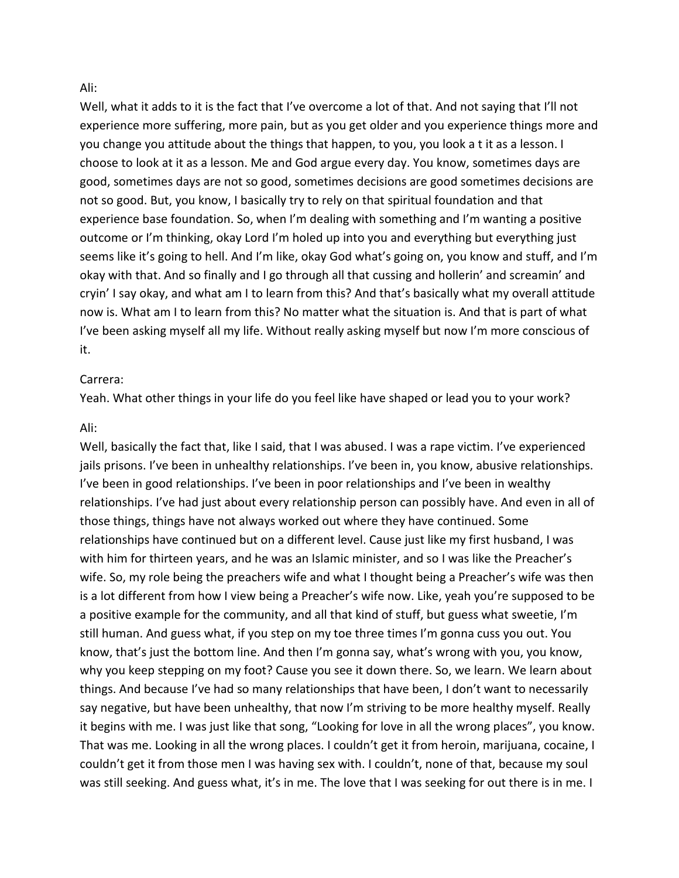#### Ali:

Well, what it adds to it is the fact that I've overcome a lot of that. And not saying that I'll not experience more suffering, more pain, but as you get older and you experience things more and you change you attitude about the things that happen, to you, you look a t it as a lesson. I choose to look at it as a lesson. Me and God argue every day. You know, sometimes days are good, sometimes days are not so good, sometimes decisions are good sometimes decisions are not so good. But, you know, I basically try to rely on that spiritual foundation and that experience base foundation. So, when I'm dealing with something and I'm wanting a positive outcome or I'm thinking, okay Lord I'm holed up into you and everything but everything just seems like it's going to hell. And I'm like, okay God what's going on, you know and stuff, and I'm okay with that. And so finally and I go through all that cussing and hollerin' and screamin' and cryin' I say okay, and what am I to learn from this? And that's basically what my overall attitude now is. What am I to learn from this? No matter what the situation is. And that is part of what I've been asking myself all my life. Without really asking myself but now I'm more conscious of it.

#### Carrera:

Yeah. What other things in your life do you feel like have shaped or lead you to your work?

#### Ali:

Well, basically the fact that, like I said, that I was abused. I was a rape victim. I've experienced jails prisons. I've been in unhealthy relationships. I've been in, you know, abusive relationships. I've been in good relationships. I've been in poor relationships and I've been in wealthy relationships. I've had just about every relationship person can possibly have. And even in all of those things, things have not always worked out where they have continued. Some relationships have continued but on a different level. Cause just like my first husband, I was with him for thirteen years, and he was an Islamic minister, and so I was like the Preacher's wife. So, my role being the preachers wife and what I thought being a Preacher's wife was then is a lot different from how I view being a Preacher's wife now. Like, yeah you're supposed to be a positive example for the community, and all that kind of stuff, but guess what sweetie, I'm still human. And guess what, if you step on my toe three times I'm gonna cuss you out. You know, that's just the bottom line. And then I'm gonna say, what's wrong with you, you know, why you keep stepping on my foot? Cause you see it down there. So, we learn. We learn about things. And because I've had so many relationships that have been, I don't want to necessarily say negative, but have been unhealthy, that now I'm striving to be more healthy myself. Really it begins with me. I was just like that song, "Looking for love in all the wrong places", you know. That was me. Looking in all the wrong places. I couldn't get it from heroin, marijuana, cocaine, I couldn't get it from those men I was having sex with. I couldn't, none of that, because my soul was still seeking. And guess what, it's in me. The love that I was seeking for out there is in me. I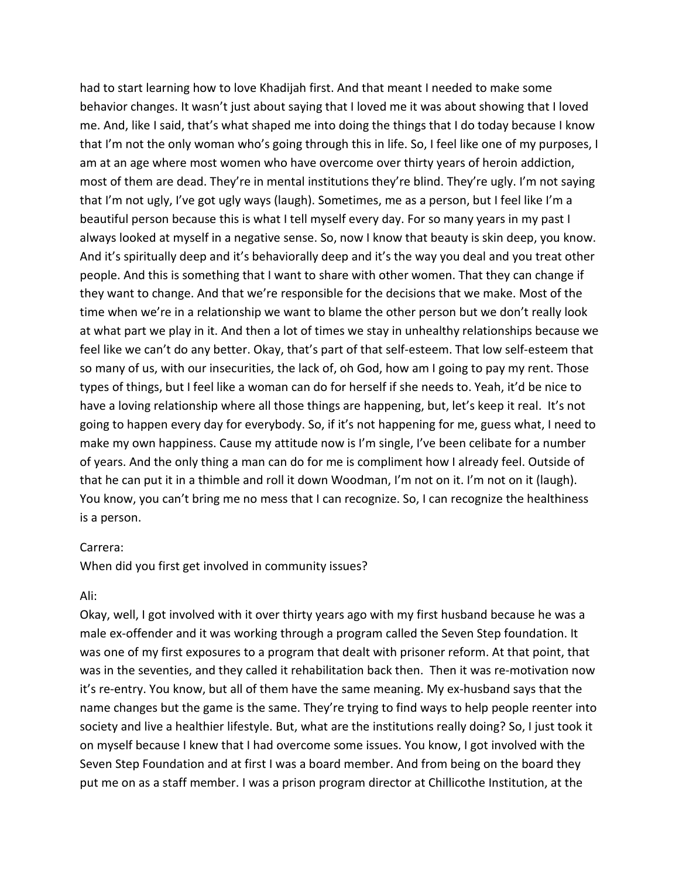had to start learning how to love Khadijah first. And that meant I needed to make some behavior changes. It wasn't just about saying that I loved me it was about showing that I loved me. And, like I said, that's what shaped me into doing the things that I do today because I know that I'm not the only woman who's going through this in life. So, I feel like one of my purposes, I am at an age where most women who have overcome over thirty years of heroin addiction, most of them are dead. They're in mental institutions they're blind. They're ugly. I'm not saying that I'm not ugly, I've got ugly ways (laugh). Sometimes, me as a person, but I feel like I'm a beautiful person because this is what I tell myself every day. For so many years in my past I always looked at myself in a negative sense. So, now I know that beauty is skin deep, you know. And it's spiritually deep and it's behaviorally deep and it's the way you deal and you treat other people. And this is something that I want to share with other women. That they can change if they want to change. And that we're responsible for the decisions that we make. Most of the time when we're in a relationship we want to blame the other person but we don't really look at what part we play in it. And then a lot of times we stay in unhealthy relationships because we feel like we can't do any better. Okay, that's part of that self-esteem. That low self-esteem that so many of us, with our insecurities, the lack of, oh God, how am I going to pay my rent. Those types of things, but I feel like a woman can do for herself if she needs to. Yeah, it'd be nice to have a loving relationship where all those things are happening, but, let's keep it real. It's not going to happen every day for everybody. So, if it's not happening for me, guess what, I need to make my own happiness. Cause my attitude now is I'm single, I've been celibate for a number of years. And the only thing a man can do for me is compliment how I already feel. Outside of that he can put it in a thimble and roll it down Woodman, I'm not on it. I'm not on it (laugh). You know, you can't bring me no mess that I can recognize. So, I can recognize the healthiness is a person.

### Carrera:

When did you first get involved in community issues?

### Ali:

Okay, well, I got involved with it over thirty years ago with my first husband because he was a male ex-offender and it was working through a program called the Seven Step foundation. It was one of my first exposures to a program that dealt with prisoner reform. At that point, that was in the seventies, and they called it rehabilitation back then. Then it was re-motivation now it's re-entry. You know, but all of them have the same meaning. My ex-husband says that the name changes but the game is the same. They're trying to find ways to help people reenter into society and live a healthier lifestyle. But, what are the institutions really doing? So, I just took it on myself because I knew that I had overcome some issues. You know, I got involved with the Seven Step Foundation and at first I was a board member. And from being on the board they put me on as a staff member. I was a prison program director at Chillicothe Institution, at the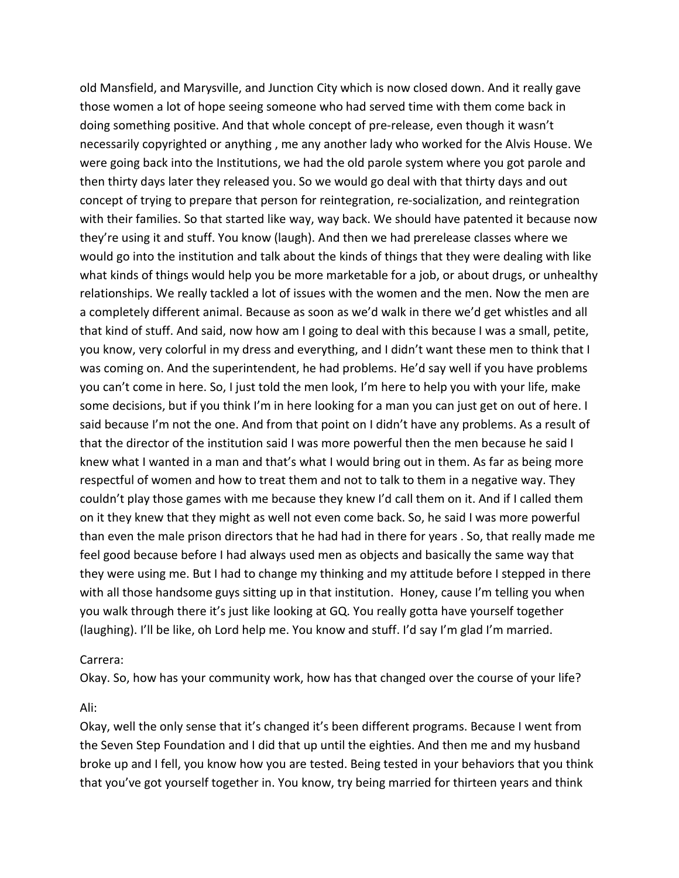old Mansfield, and Marysville, and Junction City which is now closed down. And it really gave those women a lot of hope seeing someone who had served time with them come back in doing something positive. And that whole concept of pre-release, even though it wasn't necessarily copyrighted or anything , me any another lady who worked for the Alvis House. We were going back into the Institutions, we had the old parole system where you got parole and then thirty days later they released you. So we would go deal with that thirty days and out concept of trying to prepare that person for reintegration, re-socialization, and reintegration with their families. So that started like way, way back. We should have patented it because now they're using it and stuff. You know (laugh). And then we had prerelease classes where we would go into the institution and talk about the kinds of things that they were dealing with like what kinds of things would help you be more marketable for a job, or about drugs, or unhealthy relationships. We really tackled a lot of issues with the women and the men. Now the men are a completely different animal. Because as soon as we'd walk in there we'd get whistles and all that kind of stuff. And said, now how am I going to deal with this because I was a small, petite, you know, very colorful in my dress and everything, and I didn't want these men to think that I was coming on. And the superintendent, he had problems. He'd say well if you have problems you can't come in here. So, I just told the men look, I'm here to help you with your life, make some decisions, but if you think I'm in here looking for a man you can just get on out of here. I said because I'm not the one. And from that point on I didn't have any problems. As a result of that the director of the institution said I was more powerful then the men because he said I knew what I wanted in a man and that's what I would bring out in them. As far as being more respectful of women and how to treat them and not to talk to them in a negative way. They couldn't play those games with me because they knew I'd call them on it. And if I called them on it they knew that they might as well not even come back. So, he said I was more powerful than even the male prison directors that he had had in there for years . So, that really made me feel good because before I had always used men as objects and basically the same way that they were using me. But I had to change my thinking and my attitude before I stepped in there with all those handsome guys sitting up in that institution. Honey, cause I'm telling you when you walk through there it's just like looking at GQ. You really gotta have yourself together (laughing). I'll be like, oh Lord help me. You know and stuff. I'd say I'm glad I'm married.

### Carrera:

Okay. So, how has your community work, how has that changed over the course of your life?

Ali:

Okay, well the only sense that it's changed it's been different programs. Because I went from the Seven Step Foundation and I did that up until the eighties. And then me and my husband broke up and I fell, you know how you are tested. Being tested in your behaviors that you think that you've got yourself together in. You know, try being married for thirteen years and think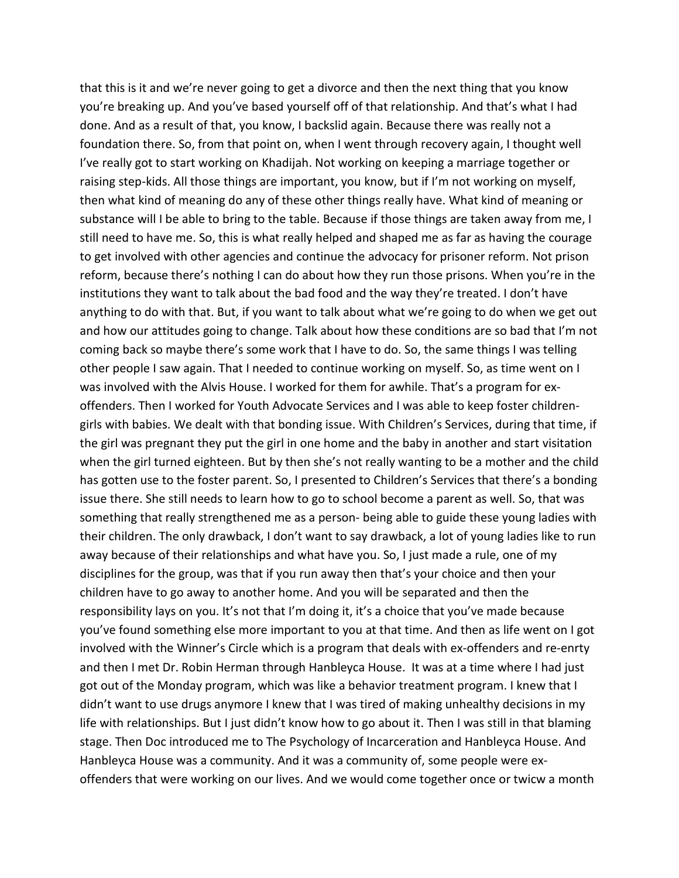that this is it and we're never going to get a divorce and then the next thing that you know you're breaking up. And you've based yourself off of that relationship. And that's what I had done. And as a result of that, you know, I backslid again. Because there was really not a foundation there. So, from that point on, when I went through recovery again, I thought well I've really got to start working on Khadijah. Not working on keeping a marriage together or raising step-kids. All those things are important, you know, but if I'm not working on myself, then what kind of meaning do any of these other things really have. What kind of meaning or substance will I be able to bring to the table. Because if those things are taken away from me, I still need to have me. So, this is what really helped and shaped me as far as having the courage to get involved with other agencies and continue the advocacy for prisoner reform. Not prison reform, because there's nothing I can do about how they run those prisons. When you're in the institutions they want to talk about the bad food and the way they're treated. I don't have anything to do with that. But, if you want to talk about what we're going to do when we get out and how our attitudes going to change. Talk about how these conditions are so bad that I'm not coming back so maybe there's some work that I have to do. So, the same things I was telling other people I saw again. That I needed to continue working on myself. So, as time went on I was involved with the Alvis House. I worked for them for awhile. That's a program for exoffenders. Then I worked for Youth Advocate Services and I was able to keep foster childrengirls with babies. We dealt with that bonding issue. With Children's Services, during that time, if the girl was pregnant they put the girl in one home and the baby in another and start visitation when the girl turned eighteen. But by then she's not really wanting to be a mother and the child has gotten use to the foster parent. So, I presented to Children's Services that there's a bonding issue there. She still needs to learn how to go to school become a parent as well. So, that was something that really strengthened me as a person- being able to guide these young ladies with their children. The only drawback, I don't want to say drawback, a lot of young ladies like to run away because of their relationships and what have you. So, I just made a rule, one of my disciplines for the group, was that if you run away then that's your choice and then your children have to go away to another home. And you will be separated and then the responsibility lays on you. It's not that I'm doing it, it's a choice that you've made because you've found something else more important to you at that time. And then as life went on I got involved with the Winner's Circle which is a program that deals with ex-offenders and re-enrty and then I met Dr. Robin Herman through Hanbleyca House. It was at a time where I had just got out of the Monday program, which was like a behavior treatment program. I knew that I didn't want to use drugs anymore I knew that I was tired of making unhealthy decisions in my life with relationships. But I just didn't know how to go about it. Then I was still in that blaming stage. Then Doc introduced me to The Psychology of Incarceration and Hanbleyca House. And Hanbleyca House was a community. And it was a community of, some people were exoffenders that were working on our lives. And we would come together once or twicw a month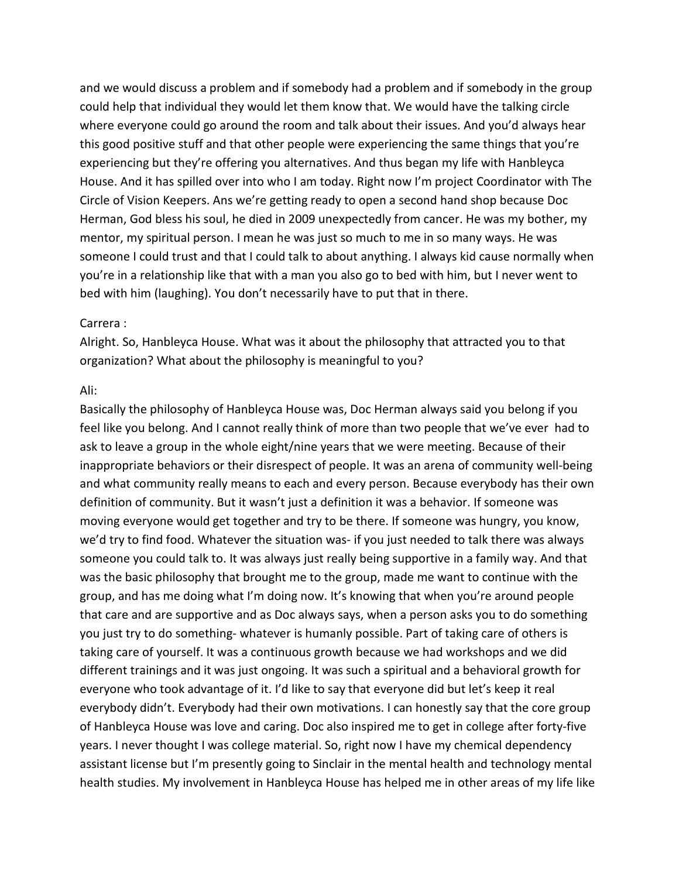and we would discuss a problem and if somebody had a problem and if somebody in the group could help that individual they would let them know that. We would have the talking circle where everyone could go around the room and talk about their issues. And you'd always hear this good positive stuff and that other people were experiencing the same things that you're experiencing but they're offering you alternatives. And thus began my life with Hanbleyca House. And it has spilled over into who I am today. Right now I'm project Coordinator with The Circle of Vision Keepers. Ans we're getting ready to open a second hand shop because Doc Herman, God bless his soul, he died in 2009 unexpectedly from cancer. He was my bother, my mentor, my spiritual person. I mean he was just so much to me in so many ways. He was someone I could trust and that I could talk to about anything. I always kid cause normally when you're in a relationship like that with a man you also go to bed with him, but I never went to bed with him (laughing). You don't necessarily have to put that in there.

### Carrera :

Alright. So, Hanbleyca House. What was it about the philosophy that attracted you to that organization? What about the philosophy is meaningful to you?

### Ali:

Basically the philosophy of Hanbleyca House was, Doc Herman always said you belong if you feel like you belong. And I cannot really think of more than two people that we've ever had to ask to leave a group in the whole eight/nine years that we were meeting. Because of their inappropriate behaviors or their disrespect of people. It was an arena of community well-being and what community really means to each and every person. Because everybody has their own definition of community. But it wasn't just a definition it was a behavior. If someone was moving everyone would get together and try to be there. If someone was hungry, you know, we'd try to find food. Whatever the situation was- if you just needed to talk there was always someone you could talk to. It was always just really being supportive in a family way. And that was the basic philosophy that brought me to the group, made me want to continue with the group, and has me doing what I'm doing now. It's knowing that when you're around people that care and are supportive and as Doc always says, when a person asks you to do something you just try to do something- whatever is humanly possible. Part of taking care of others is taking care of yourself. It was a continuous growth because we had workshops and we did different trainings and it was just ongoing. It was such a spiritual and a behavioral growth for everyone who took advantage of it. I'd like to say that everyone did but let's keep it real everybody didn't. Everybody had their own motivations. I can honestly say that the core group of Hanbleyca House was love and caring. Doc also inspired me to get in college after forty-five years. I never thought I was college material. So, right now I have my chemical dependency assistant license but I'm presently going to Sinclair in the mental health and technology mental health studies. My involvement in Hanbleyca House has helped me in other areas of my life like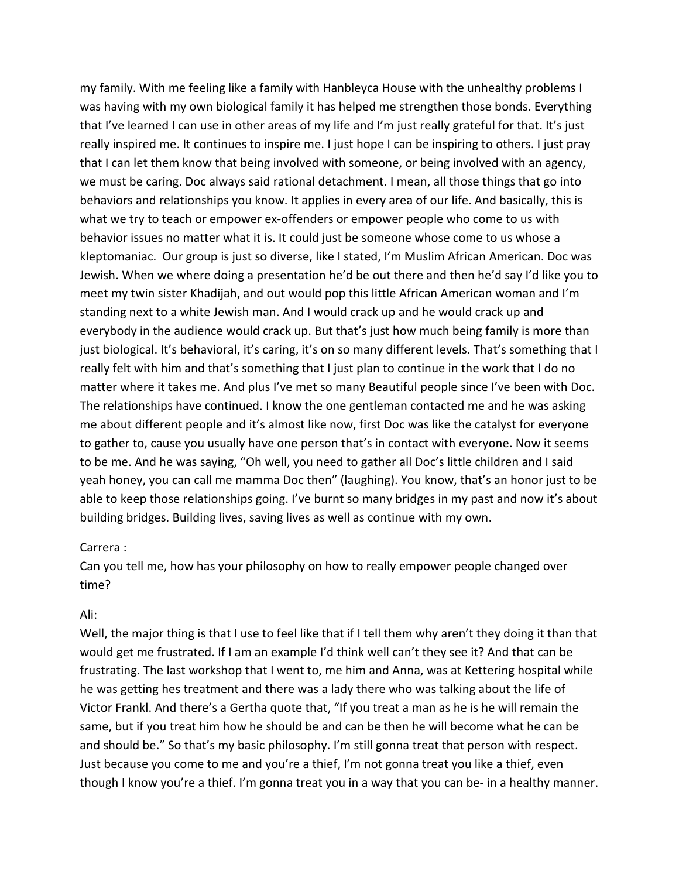my family. With me feeling like a family with Hanbleyca House with the unhealthy problems I was having with my own biological family it has helped me strengthen those bonds. Everything that I've learned I can use in other areas of my life and I'm just really grateful for that. It's just really inspired me. It continues to inspire me. I just hope I can be inspiring to others. I just pray that I can let them know that being involved with someone, or being involved with an agency, we must be caring. Doc always said rational detachment. I mean, all those things that go into behaviors and relationships you know. It applies in every area of our life. And basically, this is what we try to teach or empower ex-offenders or empower people who come to us with behavior issues no matter what it is. It could just be someone whose come to us whose a kleptomaniac. Our group is just so diverse, like I stated, I'm Muslim African American. Doc was Jewish. When we where doing a presentation he'd be out there and then he'd say I'd like you to meet my twin sister Khadijah, and out would pop this little African American woman and I'm standing next to a white Jewish man. And I would crack up and he would crack up and everybody in the audience would crack up. But that's just how much being family is more than just biological. It's behavioral, it's caring, it's on so many different levels. That's something that I really felt with him and that's something that I just plan to continue in the work that I do no matter where it takes me. And plus I've met so many Beautiful people since I've been with Doc. The relationships have continued. I know the one gentleman contacted me and he was asking me about different people and it's almost like now, first Doc was like the catalyst for everyone to gather to, cause you usually have one person that's in contact with everyone. Now it seems to be me. And he was saying, "Oh well, you need to gather all Doc's little children and I said yeah honey, you can call me mamma Doc then" (laughing). You know, that's an honor just to be able to keep those relationships going. I've burnt so many bridges in my past and now it's about building bridges. Building lives, saving lives as well as continue with my own.

### Carrera :

Can you tell me, how has your philosophy on how to really empower people changed over time?

### Ali:

Well, the major thing is that I use to feel like that if I tell them why aren't they doing it than that would get me frustrated. If I am an example I'd think well can't they see it? And that can be frustrating. The last workshop that I went to, me him and Anna, was at Kettering hospital while he was getting hes treatment and there was a lady there who was talking about the life of Victor Frankl. And there's a Gertha quote that, "If you treat a man as he is he will remain the same, but if you treat him how he should be and can be then he will become what he can be and should be." So that's my basic philosophy. I'm still gonna treat that person with respect. Just because you come to me and you're a thief, I'm not gonna treat you like a thief, even though I know you're a thief. I'm gonna treat you in a way that you can be- in a healthy manner.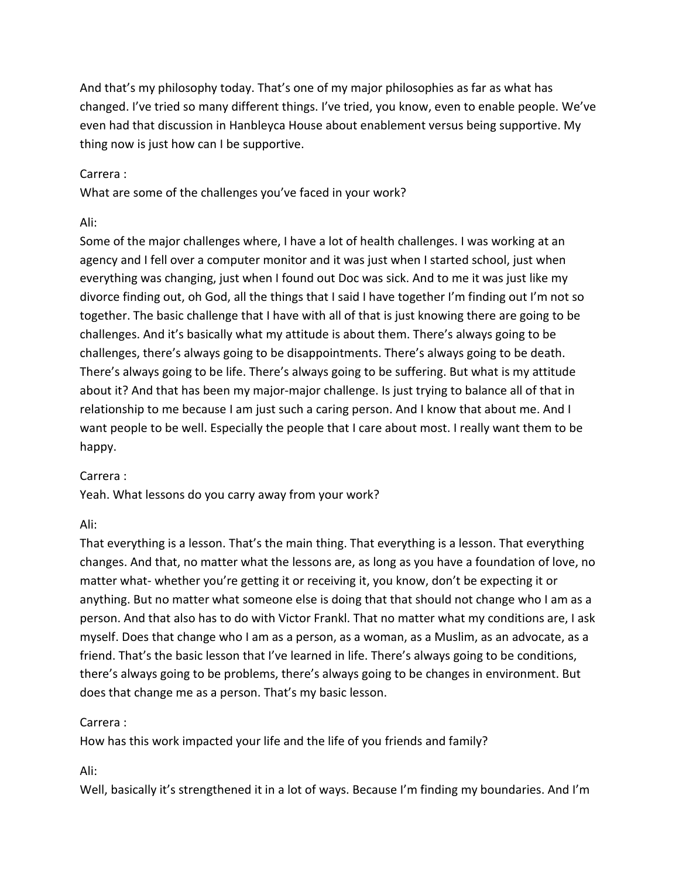And that's my philosophy today. That's one of my major philosophies as far as what has changed. I've tried so many different things. I've tried, you know, even to enable people. We've even had that discussion in Hanbleyca House about enablement versus being supportive. My thing now is just how can I be supportive.

## Carrera :

What are some of the challenges you've faced in your work?

## Ali:

Some of the major challenges where, I have a lot of health challenges. I was working at an agency and I fell over a computer monitor and it was just when I started school, just when everything was changing, just when I found out Doc was sick. And to me it was just like my divorce finding out, oh God, all the things that I said I have together I'm finding out I'm not so together. The basic challenge that I have with all of that is just knowing there are going to be challenges. And it's basically what my attitude is about them. There's always going to be challenges, there's always going to be disappointments. There's always going to be death. There's always going to be life. There's always going to be suffering. But what is my attitude about it? And that has been my major-major challenge. Is just trying to balance all of that in relationship to me because I am just such a caring person. And I know that about me. And I want people to be well. Especially the people that I care about most. I really want them to be happy.

# Carrera :

Yeah. What lessons do you carry away from your work?

# Ali:

That everything is a lesson. That's the main thing. That everything is a lesson. That everything changes. And that, no matter what the lessons are, as long as you have a foundation of love, no matter what- whether you're getting it or receiving it, you know, don't be expecting it or anything. But no matter what someone else is doing that that should not change who I am as a person. And that also has to do with Victor Frankl. That no matter what my conditions are, I ask myself. Does that change who I am as a person, as a woman, as a Muslim, as an advocate, as a friend. That's the basic lesson that I've learned in life. There's always going to be conditions, there's always going to be problems, there's always going to be changes in environment. But does that change me as a person. That's my basic lesson.

# Carrera :

How has this work impacted your life and the life of you friends and family?

Ali:

Well, basically it's strengthened it in a lot of ways. Because I'm finding my boundaries. And I'm